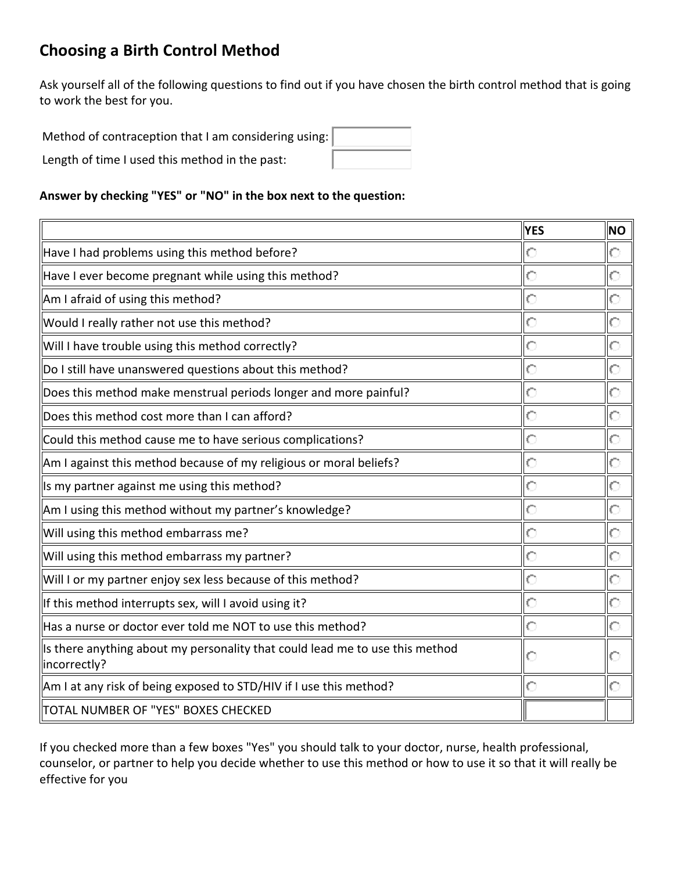# **Choosing a Birth Control Method**

Ask yourself all of the following questions to find out if you have chosen the birth control method that is going to work the best for you.

| Method of contraception that I am considering using: |  |
|------------------------------------------------------|--|
| Length of time I used this method in the past:       |  |

#### **Answer by checking "YES" or "NO" in the box next to the question:**

|                                                                                              | <b>YES</b> | <b>NO</b> |
|----------------------------------------------------------------------------------------------|------------|-----------|
| Have I had problems using this method before?                                                | $\circ$    | О         |
| Have I ever become pregnant while using this method?                                         | $\circ$    | О         |
| Am I afraid of using this method?                                                            | O          | О         |
| Would I really rather not use this method?                                                   | $\circ$    | O         |
| Will I have trouble using this method correctly?                                             | $\circ$    | О         |
| Do I still have unanswered questions about this method?                                      | $\circ$    | О         |
| Does this method make menstrual periods longer and more painful?                             | O          | O         |
| Does this method cost more than I can afford?                                                | $\circ$    | О         |
| Could this method cause me to have serious complications?                                    | $\circ$    | О         |
| Am I against this method because of my religious or moral beliefs?                           | $\circ$    | О         |
| Is my partner against me using this method?                                                  | $\circ$    | O         |
| Am I using this method without my partner's knowledge?                                       | $\circ$    | O         |
| Will using this method embarrass me?                                                         | $\circ$    | O         |
| Will using this method embarrass my partner?                                                 | $\circ$    | $\circ$   |
| Will I or my partner enjoy sex less because of this method?                                  | $\circ$    | Ó         |
| If this method interrupts sex, will I avoid using it?                                        | $\circ$    | O         |
| Has a nurse or doctor ever told me NOT to use this method?                                   | $\circ$    | $\circ$   |
| Is there anything about my personality that could lead me to use this method<br>incorrectly? |            | С         |
| Am I at any risk of being exposed to STD/HIV if I use this method?                           | $\circ$    | О         |
| TOTAL NUMBER OF "YES" BOXES CHECKED                                                          |            |           |

If you checked more than a few boxes "Yes" you should talk to your doctor, nurse, health professional, counselor, or partner to help you decide whether to use this method or how to use it so that it will really be effective for you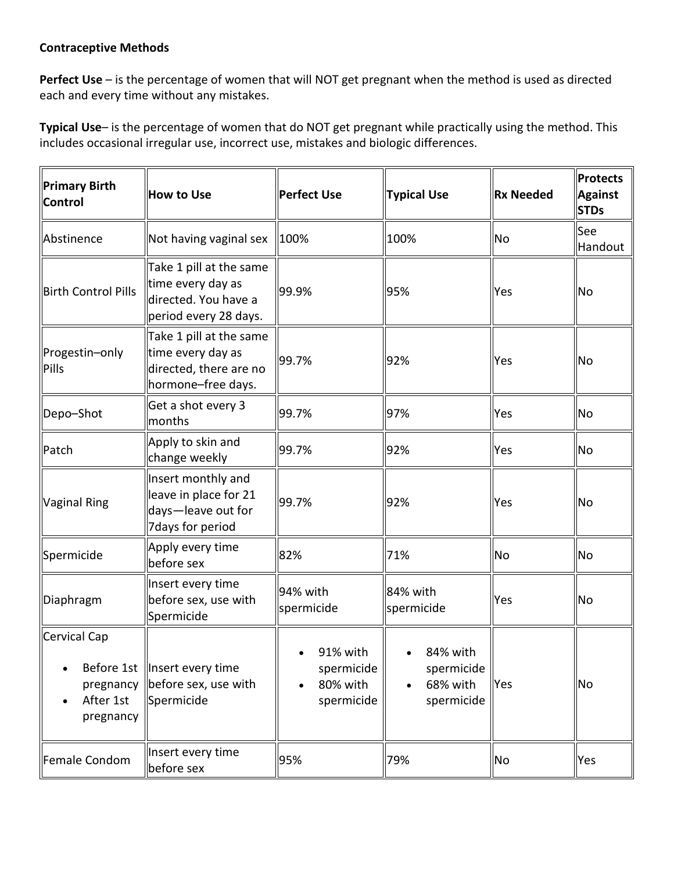# **Contraceptive Methods**

**Perfect Use** – is the percentage of women that will NOT get pregnant when the method is used as directed each and every time without any mistakes.

**Typical Use**– is the percentage of women that do NOT get pregnant while practically using the method. This includes occasional irregular use, incorrect use, mistakes and biologic differences.

| Primary Birth<br><b>Control</b>        | <b>How to Use</b>                                                                             | <b>Perfect Use</b>                                            | <b>Typical Use</b>                               | <b>Rx Needed</b> | Protects<br><b>Against</b><br><b>STDs</b> |
|----------------------------------------|-----------------------------------------------------------------------------------------------|---------------------------------------------------------------|--------------------------------------------------|------------------|-------------------------------------------|
| Abstinence                             | Not having vaginal sex                                                                        | $ 100\%$                                                      | 100%                                             | <b>No</b>        | See<br>Handout                            |
| <b>Birth Control Pills</b>             | Take 1 pill at the same<br>time every day as<br>directed. You have a<br>period every 28 days. | 99.9%                                                         | 95%                                              | Yes              | No                                        |
| Progestin-only<br>Pills                | Take 1 pill at the same<br>time every day as<br>directed, there are no<br>hormone-free days.  | 99.7%                                                         | 92%                                              | Yes              | No                                        |
| Depo-Shot                              | Get a shot every 3<br>months                                                                  | 99.7%                                                         | 97%                                              | Yes              | No                                        |
| Patch                                  | Apply to skin and<br>change weekly                                                            | 99.7%                                                         | 92%                                              | Yes              | No                                        |
| Vaginal Ring                           | Insert monthly and<br>leave in place for 21<br>days-leave out for<br>7 days for period        | 99.7%                                                         | 92%                                              | Yes              | No                                        |
| Spermicide                             | Apply every time<br>before sex                                                                | 82%                                                           | 71%                                              | <b>No</b>        | No                                        |
| Diaphragm                              | Insert every time<br>before sex, use with<br>Spermicide                                       | 94% with<br>spermicide                                        | 84% with<br>spermicide                           | Yes              | <b>No</b>                                 |
| Cervical Cap<br>After 1st<br>pregnancy | Before 1st   Insert every time<br>pregnancy  before sex, use with<br>Spermicide               | 91% with<br>$\bullet$<br>spermicide<br>80% with<br>spermicide | 84% with<br>spermicide<br>68% with<br>spermicide | <b>Yes</b>       | No                                        |
| Female Condom                          | Insert every time<br>before sex                                                               | 95%                                                           | 79%                                              | No               | Yes                                       |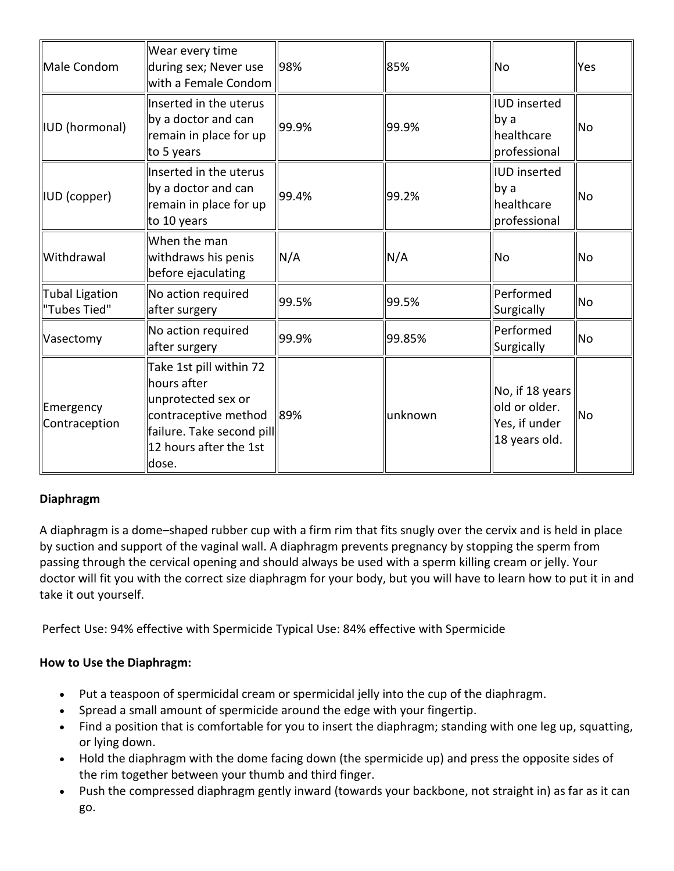| Male Condom                           | Wear every time<br>during sex; Never use<br>with a Female Condom                                                                                     | 98%   | 85%     | <b>No</b>                                                          | Yes       |
|---------------------------------------|------------------------------------------------------------------------------------------------------------------------------------------------------|-------|---------|--------------------------------------------------------------------|-----------|
| <b>IUD</b> (hormonal)                 | Inserted in the uterus<br>by a doctor and can<br>remain in place for up<br>to 5 years                                                                | 99.9% | 99.9%   | <b>IUD</b> inserted<br>by a<br>healthcare<br>professional          | <b>No</b> |
| IUD (copper)                          | Inserted in the uterus<br>by a doctor and can<br>remain in place for up<br>to 10 years                                                               | 99.4% | 99.2%   | <b>IUD</b> inserted<br>by a<br>healthcare<br>professional          | <b>No</b> |
| Withdrawal                            | When the man<br>withdraws his penis<br>before ejaculating                                                                                            | N/A   | N/A     | <b>No</b>                                                          | <b>No</b> |
| <b>Tubal Ligation</b><br>"Tubes Tied" | No action required<br>after surgery                                                                                                                  | 99.5% | 99.5%   | <b>Performed</b><br>Surgically                                     | <b>No</b> |
| Vasectomy                             | No action required<br>after surgery                                                                                                                  | 99.9% | 99.85%  | Performed<br>Surgically                                            | <b>No</b> |
| Emergency<br>Contraception            | Take 1st pill within 72<br>hours after<br>unprotected sex or<br>contraceptive method<br>failure. Take second pill<br>12 hours after the 1st<br>dose. | 89%   | unknown | No, if 18 years<br>old or older.<br>Yes, if under<br>18 years old. | <b>No</b> |

# **Diaphragm**

A diaphragm is a dome–shaped rubber cup with a firm rim that fits snugly over the cervix and is held in place by suction and support of the vaginal wall. A diaphragm prevents pregnancy by stopping the sperm from passing through the cervical opening and should always be used with a sperm killing cream or jelly. Your doctor will fit you with the correct size diaphragm for your body, but you will have to learn how to put it in and take it out yourself.

Perfect Use: 94% effective with Spermicide Typical Use: 84% effective with Spermicide

# **How to Use the Diaphragm:**

- Put a teaspoon of spermicidal cream or spermicidal jelly into the cup of the diaphragm.
- Spread a small amount of spermicide around the edge with your fingertip.
- Find a position that is comfortable for you to insert the diaphragm; standing with one leg up, squatting, or lying down.
- Hold the diaphragm with the dome facing down (the spermicide up) and press the opposite sides of the rim together between your thumb and third finger.
- Push the compressed diaphragm gently inward (towards your backbone, not straight in) as far as it can go.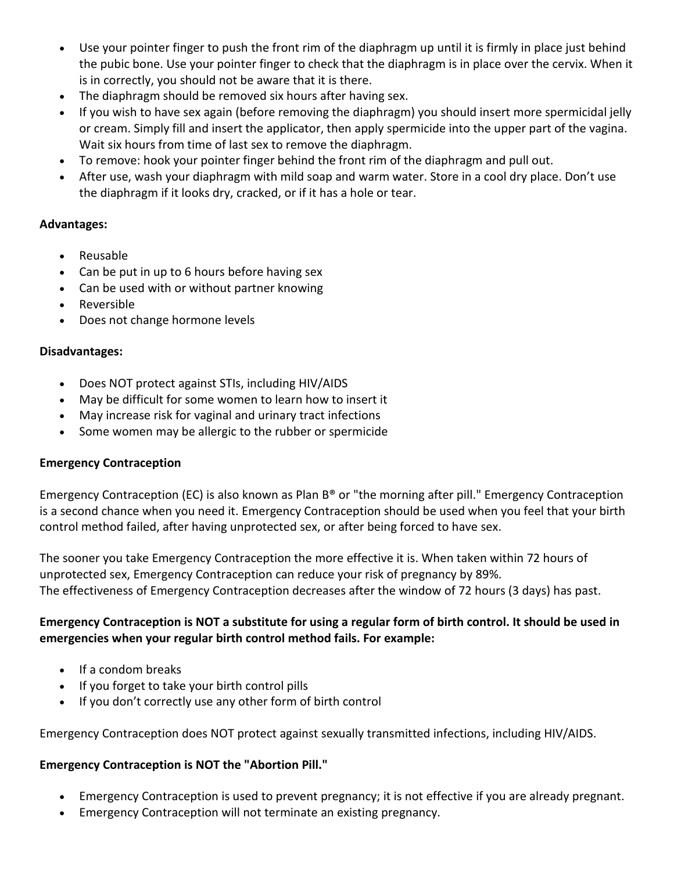- Use your pointer finger to push the front rim of the diaphragm up until it is firmly in place just behind the pubic bone. Use your pointer finger to check that the diaphragm is in place over the cervix. When it is in correctly, you should not be aware that it is there.
- The diaphragm should be removed six hours after having sex.
- If you wish to have sex again (before removing the diaphragm) you should insert more spermicidal jelly or cream. Simply fill and insert the applicator, then apply spermicide into the upper part of the vagina. Wait six hours from time of last sex to remove the diaphragm.
- To remove: hook your pointer finger behind the front rim of the diaphragm and pull out.
- After use, wash your diaphragm with mild soap and warm water. Store in a cool dry place. Don't use the diaphragm if it looks dry, cracked, or if it has a hole or tear.

# **Advantages:**

- Reusable
- Can be put in up to 6 hours before having sex
- Can be used with or without partner knowing
- Reversible
- Does not change hormone levels

# **Disadvantages:**

- Does NOT protect against STIs, including HIV/AIDS
- May be difficult for some women to learn how to insert it
- May increase risk for vaginal and urinary tract infections
- Some women may be allergic to the rubber or spermicide

# **Emergency Contraception**

Emergency Contraception (EC) is also known as Plan B® or "the morning after pill." Emergency Contraception is a second chance when you need it. Emergency Contraception should be used when you feel that your birth control method failed, after having unprotected sex, or after being forced to have sex.

The sooner you take Emergency Contraception the more effective it is. When taken within 72 hours of unprotected sex, Emergency Contraception can reduce your risk of pregnancy by 89%. The effectiveness of Emergency Contraception decreases after the window of 72 hours (3 days) has past.

# **Emergency Contraception is NOT a substitute for using a regular form of birth control. It should be used in emergencies when your regular birth control method fails. For example:**

- If a condom breaks
- If you forget to take your birth control pills
- If you don't correctly use any other form of birth control

Emergency Contraception does NOT protect against sexually transmitted infections, including HIV/AIDS.

# **Emergency Contraception is NOT the "Abortion Pill."**

- Emergency Contraception is used to prevent pregnancy; it is not effective if you are already pregnant.
- Emergency Contraception will not terminate an existing pregnancy.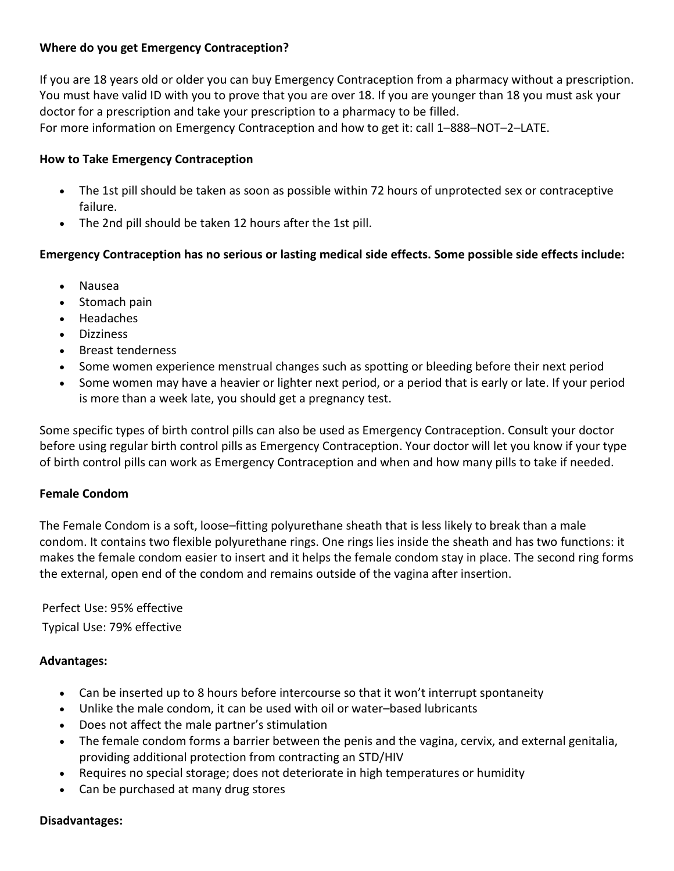# **Where do you get Emergency Contraception?**

If you are 18 years old or older you can buy Emergency Contraception from a pharmacy without a prescription. You must have valid ID with you to prove that you are over 18. If you are younger than 18 you must ask your doctor for a prescription and take your prescription to a pharmacy to be filled. For more information on Emergency Contraception and how to get it: call 1–888–NOT–2–LATE.

# **How to Take Emergency Contraception**

- The 1st pill should be taken as soon as possible within 72 hours of unprotected sex or contraceptive failure.
- The 2nd pill should be taken 12 hours after the 1st pill.

# **Emergency Contraception has no serious or lasting medical side effects. Some possible side effects include:**

- Nausea
- Stomach pain
- Headaches
- Dizziness
- Breast tenderness
- Some women experience menstrual changes such as spotting or bleeding before their next period
- Some women may have a heavier or lighter next period, or a period that is early or late. If your period is more than a week late, you should get a pregnancy test.

Some specific types of birth control pills can also be used as Emergency Contraception. Consult your doctor before using regular birth control pills as Emergency Contraception. Your doctor will let you know if your type of birth control pills can work as Emergency Contraception and when and how many pills to take if needed.

#### **Female Condom**

The Female Condom is a soft, loose–fitting polyurethane sheath that is less likely to break than a male condom. It contains two flexible polyurethane rings. One rings lies inside the sheath and has two functions: it makes the female condom easier to insert and it helps the female condom stay in place. The second ring forms the external, open end of the condom and remains outside of the vagina after insertion.

Perfect Use: 95% effective Typical Use: 79% effective

# **Advantages:**

- Can be inserted up to 8 hours before intercourse so that it won't interrupt spontaneity
- Unlike the male condom, it can be used with oil or water–based lubricants
- Does not affect the male partner's stimulation
- The female condom forms a barrier between the penis and the vagina, cervix, and external genitalia, providing additional protection from contracting an STD/HIV
- Requires no special storage; does not deteriorate in high temperatures or humidity
- Can be purchased at many drug stores

#### **Disadvantages:**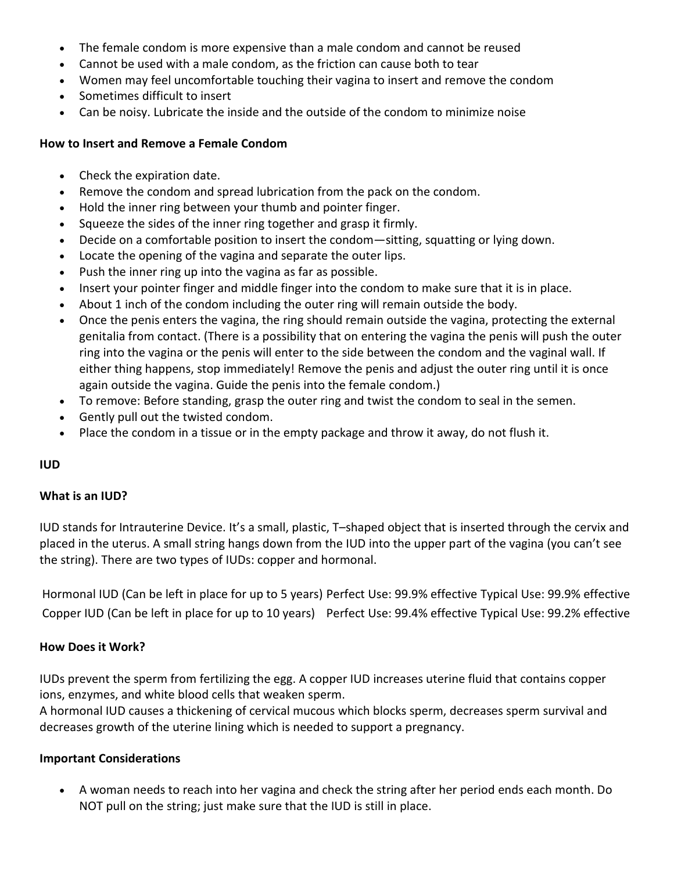- The female condom is more expensive than a male condom and cannot be reused
- Cannot be used with a male condom, as the friction can cause both to tear
- Women may feel uncomfortable touching their vagina to insert and remove the condom
- Sometimes difficult to insert
- Can be noisy. Lubricate the inside and the outside of the condom to minimize noise

# **How to Insert and Remove a Female Condom**

- Check the expiration date.
- Remove the condom and spread lubrication from the pack on the condom.
- Hold the inner ring between your thumb and pointer finger.
- Squeeze the sides of the inner ring together and grasp it firmly.
- Decide on a comfortable position to insert the condom—sitting, squatting or lying down.
- Locate the opening of the vagina and separate the outer lips.
- Push the inner ring up into the vagina as far as possible.
- Insert your pointer finger and middle finger into the condom to make sure that it is in place.
- About 1 inch of the condom including the outer ring will remain outside the body.
- Once the penis enters the vagina, the ring should remain outside the vagina, protecting the external genitalia from contact. (There is a possibility that on entering the vagina the penis will push the outer ring into the vagina or the penis will enter to the side between the condom and the vaginal wall. If either thing happens, stop immediately! Remove the penis and adjust the outer ring until it is once again outside the vagina. Guide the penis into the female condom.)
- To remove: Before standing, grasp the outer ring and twist the condom to seal in the semen.
- Gently pull out the twisted condom.
- Place the condom in a tissue or in the empty package and throw it away, do not flush it.

# **IUD**

# **What is an IUD?**

IUD stands for Intrauterine Device. It's a small, plastic, T–shaped object that is inserted through the cervix and placed in the uterus. A small string hangs down from the IUD into the upper part of the vagina (you can't see the string). There are two types of IUDs: copper and hormonal.

Hormonal IUD (Can be left in place for up to 5 years) Perfect Use: 99.9% effective Typical Use: 99.9% effective Copper IUD (Can be left in place for up to 10 years) Perfect Use: 99.4% effective Typical Use: 99.2% effective

# **How Does it Work?**

IUDs prevent the sperm from fertilizing the egg. A copper IUD increases uterine fluid that contains copper ions, enzymes, and white blood cells that weaken sperm.

A hormonal IUD causes a thickening of cervical mucous which blocks sperm, decreases sperm survival and decreases growth of the uterine lining which is needed to support a pregnancy.

# **Important Considerations**

• A woman needs to reach into her vagina and check the string after her period ends each month. Do NOT pull on the string; just make sure that the IUD is still in place.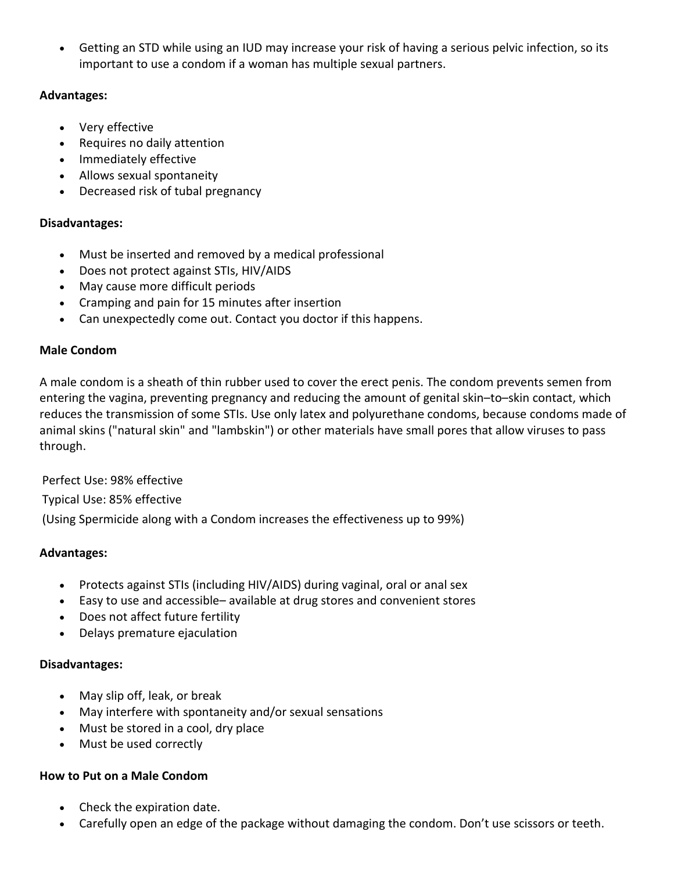• Getting an STD while using an IUD may increase your risk of having a serious pelvic infection, so its important to use a condom if a woman has multiple sexual partners.

# **Advantages:**

- Very effective
- Requires no daily attention
- Immediately effective
- Allows sexual spontaneity
- Decreased risk of tubal pregnancy

# **Disadvantages:**

- Must be inserted and removed by a medical professional
- Does not protect against STIs, HIV/AIDS
- May cause more difficult periods
- Cramping and pain for 15 minutes after insertion
- Can unexpectedly come out. Contact you doctor if this happens.

# **Male Condom**

A male condom is a sheath of thin rubber used to cover the erect penis. The condom prevents semen from entering the vagina, preventing pregnancy and reducing the amount of genital skin–to–skin contact, which reduces the transmission of some STIs. Use only latex and polyurethane condoms, because condoms made of animal skins ("natural skin" and "lambskin") or other materials have small pores that allow viruses to pass through.

Perfect Use: 98% effective

Typical Use: 85% effective

(Using Spermicide along with a Condom increases the effectiveness up to 99%)

# **Advantages:**

- Protects against STIs (including HIV/AIDS) during vaginal, oral or anal sex
- Easy to use and accessible– available at drug stores and convenient stores
- Does not affect future fertility
- Delays premature ejaculation

# **Disadvantages:**

- May slip off, leak, or break
- May interfere with spontaneity and/or sexual sensations
- Must be stored in a cool, dry place
- Must be used correctly

# **How to Put on a Male Condom**

- Check the expiration date.
- Carefully open an edge of the package without damaging the condom. Don't use scissors or teeth.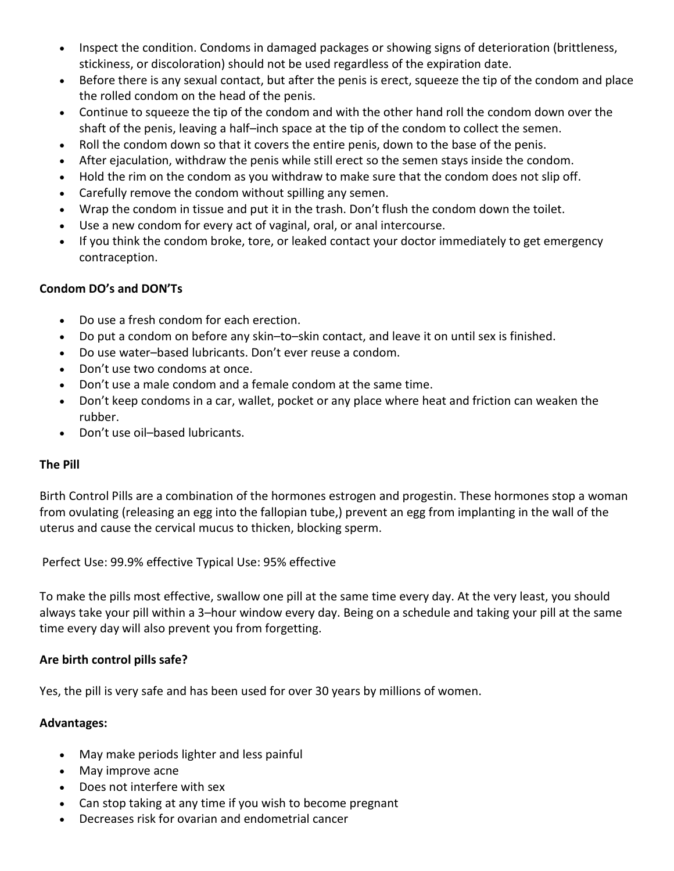- Inspect the condition. Condoms in damaged packages or showing signs of deterioration (brittleness, stickiness, or discoloration) should not be used regardless of the expiration date.
- Before there is any sexual contact, but after the penis is erect, squeeze the tip of the condom and place the rolled condom on the head of the penis.
- Continue to squeeze the tip of the condom and with the other hand roll the condom down over the shaft of the penis, leaving a half–inch space at the tip of the condom to collect the semen.
- Roll the condom down so that it covers the entire penis, down to the base of the penis.
- After ejaculation, withdraw the penis while still erect so the semen stays inside the condom.
- Hold the rim on the condom as you withdraw to make sure that the condom does not slip off.
- Carefully remove the condom without spilling any semen.
- Wrap the condom in tissue and put it in the trash. Don't flush the condom down the toilet.
- Use a new condom for every act of vaginal, oral, or anal intercourse.
- If you think the condom broke, tore, or leaked contact your doctor immediately to get emergency contraception.

# **Condom DO's and DON'Ts**

- Do use a fresh condom for each erection.
- Do put a condom on before any skin–to–skin contact, and leave it on until sex is finished.
- Do use water–based lubricants. Don't ever reuse a condom.
- Don't use two condoms at once.
- Don't use a male condom and a female condom at the same time.
- Don't keep condoms in a car, wallet, pocket or any place where heat and friction can weaken the rubber.
- Don't use oil–based lubricants.

# **The Pill**

Birth Control Pills are a combination of the hormones estrogen and progestin. These hormones stop a woman from ovulating (releasing an egg into the fallopian tube,) prevent an egg from implanting in the wall of the uterus and cause the cervical mucus to thicken, blocking sperm.

Perfect Use: 99.9% effective Typical Use: 95% effective

To make the pills most effective, swallow one pill at the same time every day. At the very least, you should always take your pill within a 3–hour window every day. Being on a schedule and taking your pill at the same time every day will also prevent you from forgetting.

# **Are birth control pills safe?**

Yes, the pill is very safe and has been used for over 30 years by millions of women.

# **Advantages:**

- May make periods lighter and less painful
- May improve acne
- Does not interfere with sex
- Can stop taking at any time if you wish to become pregnant
- Decreases risk for ovarian and endometrial cancer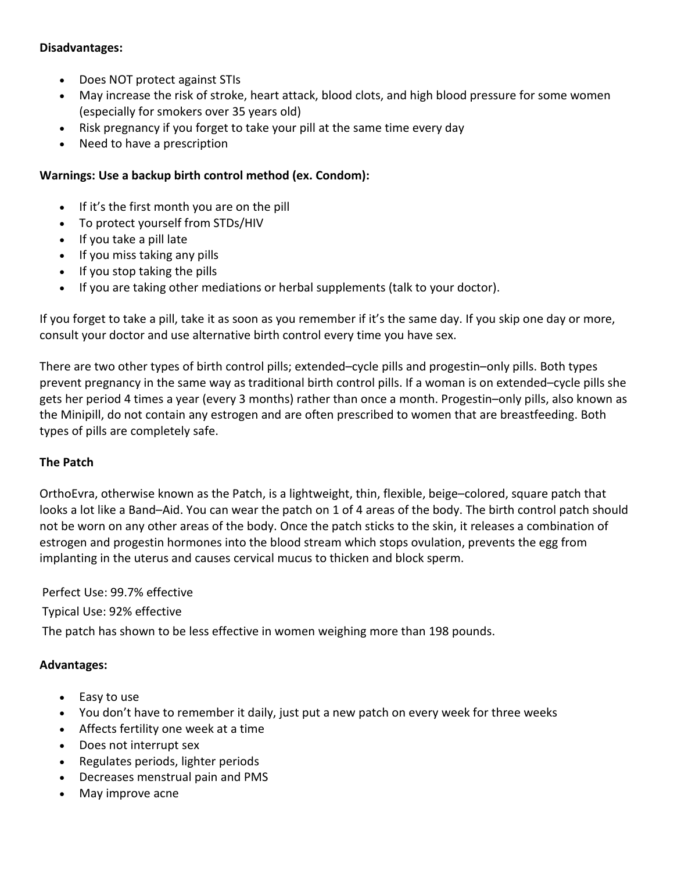#### **Disadvantages:**

- Does NOT protect against STIs
- May increase the risk of stroke, heart attack, blood clots, and high blood pressure for some women (especially for smokers over 35 years old)
- Risk pregnancy if you forget to take your pill at the same time every day
- Need to have a prescription

# **Warnings: Use a backup birth control method (ex. Condom):**

- If it's the first month you are on the pill
- To protect yourself from STDs/HIV
- If you take a pill late
- If you miss taking any pills
- If you stop taking the pills
- If you are taking other mediations or herbal supplements (talk to your doctor).

If you forget to take a pill, take it as soon as you remember if it's the same day. If you skip one day or more, consult your doctor and use alternative birth control every time you have sex.

There are two other types of birth control pills; extended–cycle pills and progestin–only pills. Both types prevent pregnancy in the same way as traditional birth control pills. If a woman is on extended–cycle pills she gets her period 4 times a year (every 3 months) rather than once a month. Progestin–only pills, also known as the Minipill, do not contain any estrogen and are often prescribed to women that are breastfeeding. Both types of pills are completely safe.

# **The Patch**

OrthoEvra, otherwise known as the Patch, is a lightweight, thin, flexible, beige–colored, square patch that looks a lot like a Band–Aid. You can wear the patch on 1 of 4 areas of the body. The birth control patch should not be worn on any other areas of the body. Once the patch sticks to the skin, it releases a combination of estrogen and progestin hormones into the blood stream which stops ovulation, prevents the egg from implanting in the uterus and causes cervical mucus to thicken and block sperm.

Perfect Use: 99.7% effective

Typical Use: 92% effective

The patch has shown to be less effective in women weighing more than 198 pounds.

# **Advantages:**

- Easy to use
- You don't have to remember it daily, just put a new patch on every week for three weeks
- Affects fertility one week at a time
- Does not interrupt sex
- Regulates periods, lighter periods
- Decreases menstrual pain and PMS
- May improve acne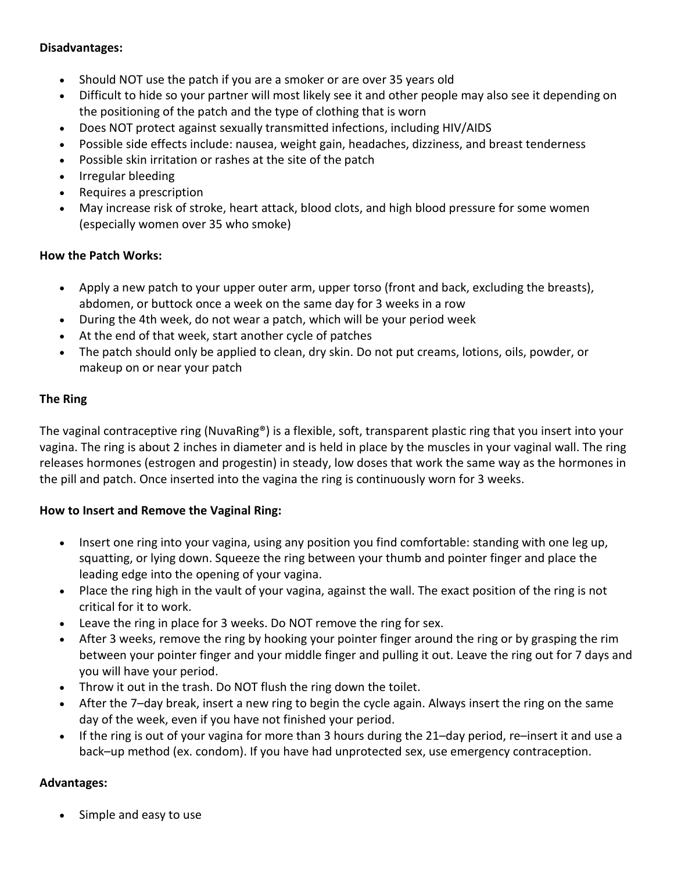#### **Disadvantages:**

- Should NOT use the patch if you are a smoker or are over 35 years old
- Difficult to hide so your partner will most likely see it and other people may also see it depending on the positioning of the patch and the type of clothing that is worn
- Does NOT protect against sexually transmitted infections, including HIV/AIDS
- Possible side effects include: nausea, weight gain, headaches, dizziness, and breast tenderness
- Possible skin irritation or rashes at the site of the patch
- Irregular bleeding
- Requires a prescription
- May increase risk of stroke, heart attack, blood clots, and high blood pressure for some women (especially women over 35 who smoke)

#### **How the Patch Works:**

- Apply a new patch to your upper outer arm, upper torso (front and back, excluding the breasts), abdomen, or buttock once a week on the same day for 3 weeks in a row
- During the 4th week, do not wear a patch, which will be your period week
- At the end of that week, start another cycle of patches
- The patch should only be applied to clean, dry skin. Do not put creams, lotions, oils, powder, or makeup on or near your patch

# **The Ring**

The vaginal contraceptive ring (NuvaRing®) is a flexible, soft, transparent plastic ring that you insert into your vagina. The ring is about 2 inches in diameter and is held in place by the muscles in your vaginal wall. The ring releases hormones (estrogen and progestin) in steady, low doses that work the same way as the hormones in the pill and patch. Once inserted into the vagina the ring is continuously worn for 3 weeks.

# **How to Insert and Remove the Vaginal Ring:**

- Insert one ring into your vagina, using any position you find comfortable: standing with one leg up, squatting, or lying down. Squeeze the ring between your thumb and pointer finger and place the leading edge into the opening of your vagina.
- Place the ring high in the vault of your vagina, against the wall. The exact position of the ring is not critical for it to work.
- Leave the ring in place for 3 weeks. Do NOT remove the ring for sex.
- After 3 weeks, remove the ring by hooking your pointer finger around the ring or by grasping the rim between your pointer finger and your middle finger and pulling it out. Leave the ring out for 7 days and you will have your period.
- Throw it out in the trash. Do NOT flush the ring down the toilet.
- After the 7–day break, insert a new ring to begin the cycle again. Always insert the ring on the same day of the week, even if you have not finished your period.
- If the ring is out of your vagina for more than 3 hours during the 21–day period, re–insert it and use a back–up method (ex. condom). If you have had unprotected sex, use emergency contraception.

# **Advantages:**

Simple and easy to use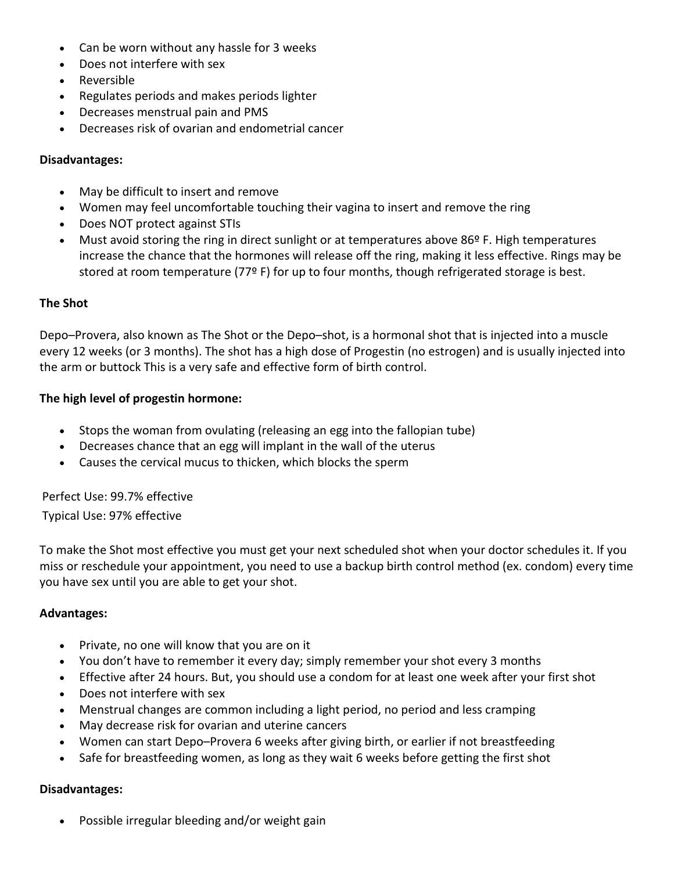- Can be worn without any hassle for 3 weeks
- Does not interfere with sex
- Reversible
- Regulates periods and makes periods lighter
- Decreases menstrual pain and PMS
- Decreases risk of ovarian and endometrial cancer

#### **Disadvantages:**

- May be difficult to insert and remove
- Women may feel uncomfortable touching their vagina to insert and remove the ring
- Does NOT protect against STIs
- Must avoid storing the ring in direct sunlight or at temperatures above 86º F. High temperatures increase the chance that the hormones will release off the ring, making it less effective. Rings may be stored at room temperature (77º F) for up to four months, though refrigerated storage is best.

#### **The Shot**

Depo–Provera, also known as The Shot or the Depo–shot, is a hormonal shot that is injected into a muscle every 12 weeks (or 3 months). The shot has a high dose of Progestin (no estrogen) and is usually injected into the arm or buttock This is a very safe and effective form of birth control.

#### **The high level of progestin hormone:**

- Stops the woman from ovulating (releasing an egg into the fallopian tube)
- Decreases chance that an egg will implant in the wall of the uterus
- Causes the cervical mucus to thicken, which blocks the sperm

Perfect Use: 99.7% effective

Typical Use: 97% effective

To make the Shot most effective you must get your next scheduled shot when your doctor schedules it. If you miss or reschedule your appointment, you need to use a backup birth control method (ex. condom) every time you have sex until you are able to get your shot.

#### **Advantages:**

- Private, no one will know that you are on it
- You don't have to remember it every day; simply remember your shot every 3 months
- Effective after 24 hours. But, you should use a condom for at least one week after your first shot
- Does not interfere with sex
- Menstrual changes are common including a light period, no period and less cramping
- May decrease risk for ovarian and uterine cancers
- Women can start Depo–Provera 6 weeks after giving birth, or earlier if not breastfeeding
- Safe for breastfeeding women, as long as they wait 6 weeks before getting the first shot

#### **Disadvantages:**

• Possible irregular bleeding and/or weight gain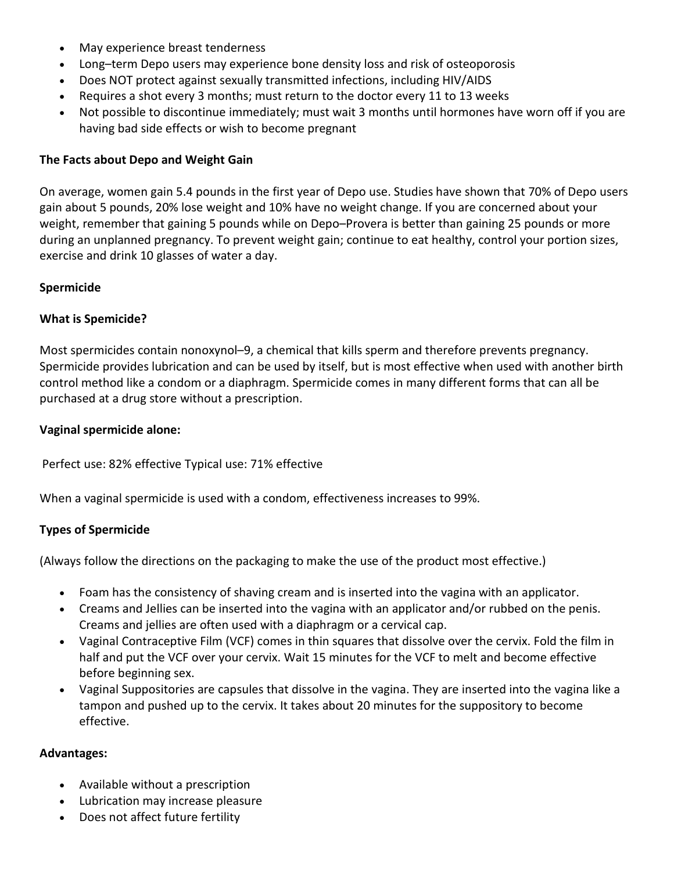- May experience breast tenderness
- Long–term Depo users may experience bone density loss and risk of osteoporosis
- Does NOT protect against sexually transmitted infections, including HIV/AIDS
- Requires a shot every 3 months; must return to the doctor every 11 to 13 weeks
- Not possible to discontinue immediately; must wait 3 months until hormones have worn off if you are having bad side effects or wish to become pregnant

#### **The Facts about Depo and Weight Gain**

On average, women gain 5.4 pounds in the first year of Depo use. Studies have shown that 70% of Depo users gain about 5 pounds, 20% lose weight and 10% have no weight change. If you are concerned about your weight, remember that gaining 5 pounds while on Depo–Provera is better than gaining 25 pounds or more during an unplanned pregnancy. To prevent weight gain; continue to eat healthy, control your portion sizes, exercise and drink 10 glasses of water a day.

#### **Spermicide**

#### **What is Spemicide?**

Most spermicides contain nonoxynol–9, a chemical that kills sperm and therefore prevents pregnancy. Spermicide provides lubrication and can be used by itself, but is most effective when used with another birth control method like a condom or a diaphragm. Spermicide comes in many different forms that can all be purchased at a drug store without a prescription.

#### **Vaginal spermicide alone:**

Perfect use: 82% effective Typical use: 71% effective

When a vaginal spermicide is used with a condom, effectiveness increases to 99%.

# **Types of Spermicide**

(Always follow the directions on the packaging to make the use of the product most effective.)

- Foam has the consistency of shaving cream and is inserted into the vagina with an applicator.
- Creams and Jellies can be inserted into the vagina with an applicator and/or rubbed on the penis. Creams and jellies are often used with a diaphragm or a cervical cap.
- Vaginal Contraceptive Film (VCF) comes in thin squares that dissolve over the cervix. Fold the film in half and put the VCF over your cervix. Wait 15 minutes for the VCF to melt and become effective before beginning sex.
- Vaginal Suppositories are capsules that dissolve in the vagina. They are inserted into the vagina like a tampon and pushed up to the cervix. It takes about 20 minutes for the suppository to become effective.

#### **Advantages:**

- Available without a prescription
- Lubrication may increase pleasure
- Does not affect future fertility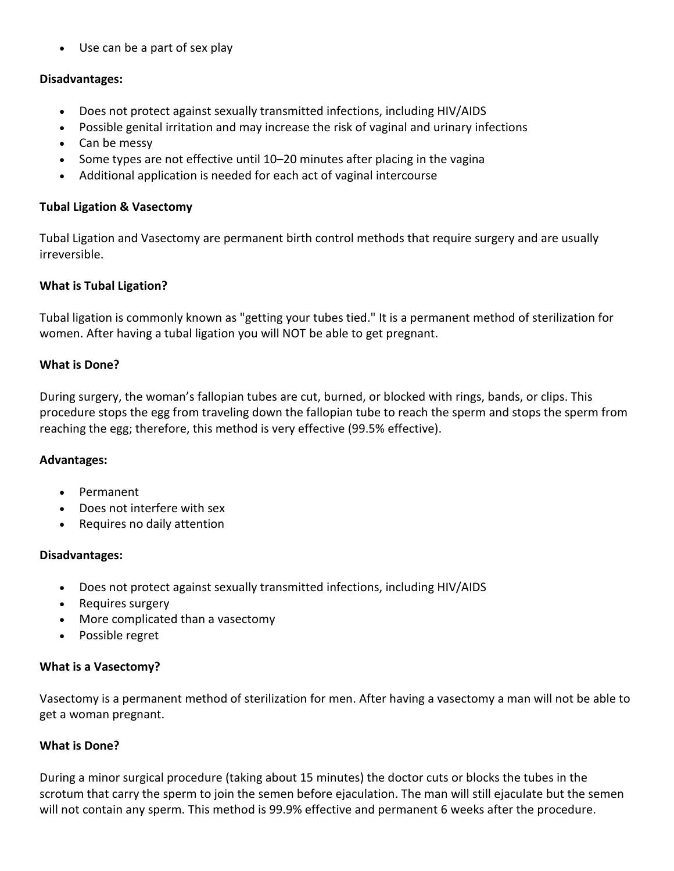• Use can be a part of sex play

#### **Disadvantages:**

- Does not protect against sexually transmitted infections, including HIV/AIDS
- Possible genital irritation and may increase the risk of vaginal and urinary infections
- Can be messy
- Some types are not effective until 10–20 minutes after placing in the vagina
- Additional application is needed for each act of vaginal intercourse

#### **Tubal Ligation & Vasectomy**

Tubal Ligation and Vasectomy are permanent birth control methods that require surgery and are usually irreversible.

#### **What is Tubal Ligation?**

Tubal ligation is commonly known as "getting your tubes tied." It is a permanent method of sterilization for women. After having a tubal ligation you will NOT be able to get pregnant.

#### **What is Done?**

During surgery, the woman's fallopian tubes are cut, burned, or blocked with rings, bands, or clips. This procedure stops the egg from traveling down the fallopian tube to reach the sperm and stops the sperm from reaching the egg; therefore, this method is very effective (99.5% effective).

#### **Advantages:**

- Permanent
- Does not interfere with sex
- Requires no daily attention

#### **Disadvantages:**

- Does not protect against sexually transmitted infections, including HIV/AIDS
- Requires surgery
- More complicated than a vasectomy
- Possible regret

#### **What is a Vasectomy?**

Vasectomy is a permanent method of sterilization for men. After having a vasectomy a man will not be able to get a woman pregnant.

#### **What is Done?**

During a minor surgical procedure (taking about 15 minutes) the doctor cuts or blocks the tubes in the scrotum that carry the sperm to join the semen before ejaculation. The man will still ejaculate but the semen will not contain any sperm. This method is 99.9% effective and permanent 6 weeks after the procedure.